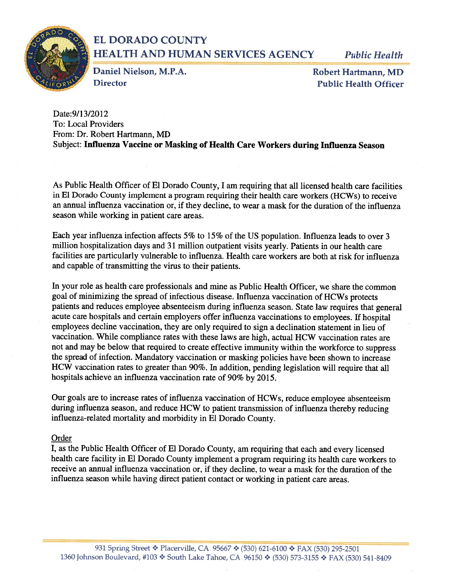

# EL DORADO COUNTY HEALTH AND HUMAN SERVICES AGENCY Public Health

Daniel Nielson, M.P.A. Robert Hartmann, MD Director Public Health Officer

Date:9/13/2012 To: Local Providers From: Dr. Robert Hartmann, MD Subject: Influenza Vaccine or Masking of Health Care Workers during Influenza Season

As Public Health Officer of El Dorado County, I am requiring that all licensed health care facilities in El Dorado County implement a program requiring their health care workers (HCWs) to receive an annual influenza vaccination or, if they decline, to wear a mask for the duration of the influenza season while working in patient care areas.

Each year influenza infection affects 5% to 15% of the US population. Influenza leads to over <sup>3</sup> million hospitalization days and 31 million outpatient visits yearly. Patients in our health care facilities are particularly vulnerable to influenza. Health care workers are both at risk for influenza and capable of transmitting the virus to their patients.

In your role as health care professionals and mine as Public Health Officer, we share the common goal of minimizing the spread of infectious disease. Influenza vaccination of HCWs protects patients and reduces employee absenteeism during influenza season. State law requires that general acute care hospitals and certain employers offer influenza vaccinations to employees. If hospital employees decline vaccination, they are only required to sign a declination statement in lieu of vaccination. While compliance rates with these laws are high, actual HCW vaccination rates are not and may be below that required to create effective immunity within the workforce to suppress the spread of infection. Mandatory vaccination or masking policies have been shown to increase HCW vaccination rates to greater than 90%. In addition, pending legislation will require that all hospitals achieve an influenza vaccination rate of 90% by 2015.

Our goals are to increase rates of influenza vaccination of HCWs, reduce employee absenteeism during influenza season, and reduce HCW to patient transmission of influenza thereby reducing influenza-related mortality and morbidity in El Dorado County.

## Order

I, as the Public Health Officer of El Dorado County, am requiring that each and every licensed health care facility in El Dorado County implement a program requiring its health care workers to receive an annual influenza vaccination or, if they decline, to wear a mask for the duration of the influenza season while having direct patient contact or working in patient care areas.